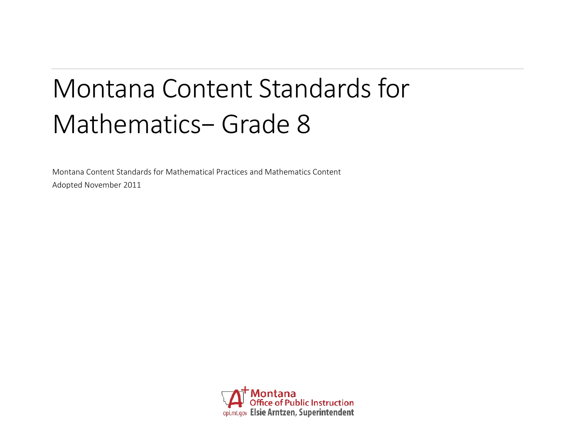# Montana Content Standards for Mathematics− Grade 8

Montana Content Standards for Mathematical Practices and Mathematics Content Adopted November 2011

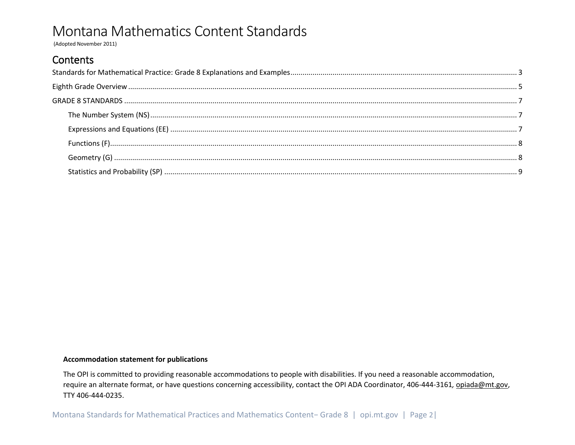(Adopted November 2011)

## Contents

#### **Accommodation statement for publications**

The OPI is committed to providing reasonable accommodations to people with disabilities. If you need a reasonable accommodation, require an alternate format, or have questions concerning accessibility, contact the OPI ADA Coordinator, 406-444-3161, opiada@mt.gov, TTY 406-444-0235.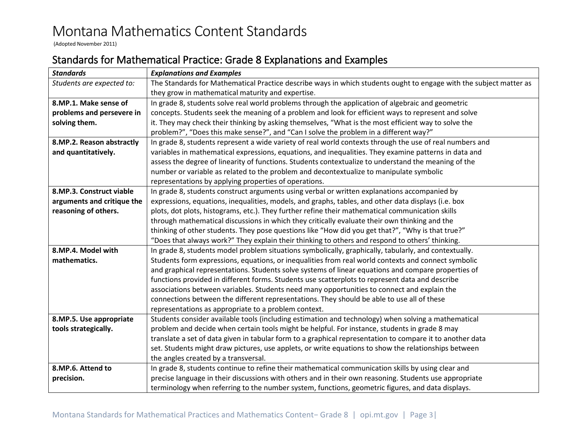(Adopted November 2011)

## <span id="page-2-0"></span>Standards for Mathematical Practice: Grade 8 Explanations and Examples

| <b>Standards</b>           | <b>Explanations and Examples</b>                                                                                   |  |  |  |  |  |
|----------------------------|--------------------------------------------------------------------------------------------------------------------|--|--|--|--|--|
| Students are expected to:  | The Standards for Mathematical Practice describe ways in which students ought to engage with the subject matter as |  |  |  |  |  |
|                            | they grow in mathematical maturity and expertise.                                                                  |  |  |  |  |  |
| 8.MP.1. Make sense of      | In grade 8, students solve real world problems through the application of algebraic and geometric                  |  |  |  |  |  |
| problems and persevere in  | concepts. Students seek the meaning of a problem and look for efficient ways to represent and solve                |  |  |  |  |  |
| solving them.              | it. They may check their thinking by asking themselves, "What is the most efficient way to solve the               |  |  |  |  |  |
|                            | problem?", "Does this make sense?", and "Can I solve the problem in a different way?"                              |  |  |  |  |  |
| 8.MP.2. Reason abstractly  | In grade 8, students represent a wide variety of real world contexts through the use of real numbers and           |  |  |  |  |  |
| and quantitatively.        | variables in mathematical expressions, equations, and inequalities. They examine patterns in data and              |  |  |  |  |  |
|                            | assess the degree of linearity of functions. Students contextualize to understand the meaning of the               |  |  |  |  |  |
|                            | number or variable as related to the problem and decontextualize to manipulate symbolic                            |  |  |  |  |  |
|                            | representations by applying properties of operations.                                                              |  |  |  |  |  |
| 8.MP.3. Construct viable   | In grade 8, students construct arguments using verbal or written explanations accompanied by                       |  |  |  |  |  |
| arguments and critique the | expressions, equations, inequalities, models, and graphs, tables, and other data displays (i.e. box                |  |  |  |  |  |
| reasoning of others.       | plots, dot plots, histograms, etc.). They further refine their mathematical communication skills                   |  |  |  |  |  |
|                            | through mathematical discussions in which they critically evaluate their own thinking and the                      |  |  |  |  |  |
|                            | thinking of other students. They pose questions like "How did you get that?", "Why is that true?"                  |  |  |  |  |  |
|                            | "Does that always work?" They explain their thinking to others and respond to others' thinking.                    |  |  |  |  |  |
| 8.MP.4. Model with         | In grade 8, students model problem situations symbolically, graphically, tabularly, and contextually.              |  |  |  |  |  |
| mathematics.               | Students form expressions, equations, or inequalities from real world contexts and connect symbolic                |  |  |  |  |  |
|                            | and graphical representations. Students solve systems of linear equations and compare properties of                |  |  |  |  |  |
|                            | functions provided in different forms. Students use scatterplots to represent data and describe                    |  |  |  |  |  |
|                            | associations between variables. Students need many opportunities to connect and explain the                        |  |  |  |  |  |
|                            | connections between the different representations. They should be able to use all of these                         |  |  |  |  |  |
|                            | representations as appropriate to a problem context.                                                               |  |  |  |  |  |
| 8.MP.5. Use appropriate    | Students consider available tools (including estimation and technology) when solving a mathematical                |  |  |  |  |  |
| tools strategically.       | problem and decide when certain tools might be helpful. For instance, students in grade 8 may                      |  |  |  |  |  |
|                            | translate a set of data given in tabular form to a graphical representation to compare it to another data          |  |  |  |  |  |
|                            | set. Students might draw pictures, use applets, or write equations to show the relationships between               |  |  |  |  |  |
|                            | the angles created by a transversal.                                                                               |  |  |  |  |  |
| 8.MP.6. Attend to          | In grade 8, students continue to refine their mathematical communication skills by using clear and                 |  |  |  |  |  |
| precision.                 | precise language in their discussions with others and in their own reasoning. Students use appropriate             |  |  |  |  |  |
|                            | terminology when referring to the number system, functions, geometric figures, and data displays.                  |  |  |  |  |  |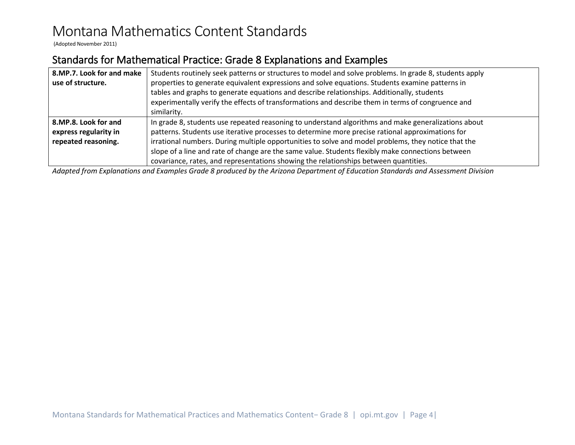(Adopted November 2011)

## Standards for Mathematical Practice: Grade 8 Explanations and Examples

| 8.MP.7. Look for and make | Students routinely seek patterns or structures to model and solve problems. In grade 8, students apply |  |  |  |  |
|---------------------------|--------------------------------------------------------------------------------------------------------|--|--|--|--|
| use of structure.         | properties to generate equivalent expressions and solve equations. Students examine patterns in        |  |  |  |  |
|                           | tables and graphs to generate equations and describe relationships. Additionally, students             |  |  |  |  |
|                           | experimentally verify the effects of transformations and describe them in terms of congruence and      |  |  |  |  |
|                           | similarity.                                                                                            |  |  |  |  |
| 8.MP.8. Look for and      | In grade 8, students use repeated reasoning to understand algorithms and make generalizations about    |  |  |  |  |
| express regularity in     | patterns. Students use iterative processes to determine more precise rational approximations for       |  |  |  |  |
| repeated reasoning.       | irrational numbers. During multiple opportunities to solve and model problems, they notice that the    |  |  |  |  |
|                           | slope of a line and rate of change are the same value. Students flexibly make connections between      |  |  |  |  |
|                           | covariance, rates, and representations showing the relationships between quantities.                   |  |  |  |  |

*Adapted from Explanations and Examples Grade 8 produced by the Arizona Department of Education Standards and Assessment Division*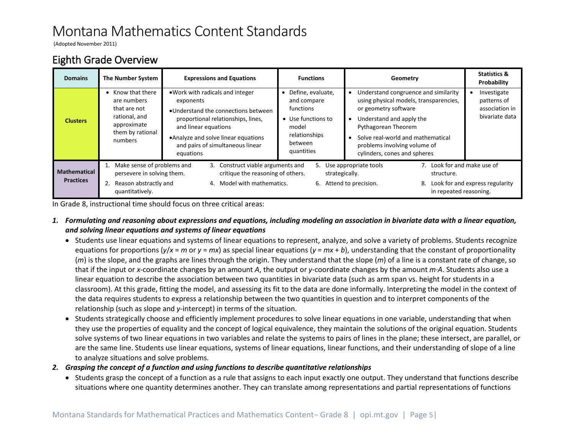(Adopted November 2011)

## <span id="page-4-0"></span>Eighth Grade Overview

| <b>Domains</b>                          | The Number System                                                                                               | <b>Expressions and Equations</b>                                                                                                                                                                                                             | <b>Functions</b>                                                                                                       | Geometry                                                                                                                                                                                                                                                       | <b>Statistics &amp;</b><br>Probability                         |
|-----------------------------------------|-----------------------------------------------------------------------------------------------------------------|----------------------------------------------------------------------------------------------------------------------------------------------------------------------------------------------------------------------------------------------|------------------------------------------------------------------------------------------------------------------------|----------------------------------------------------------------------------------------------------------------------------------------------------------------------------------------------------------------------------------------------------------------|----------------------------------------------------------------|
| <b>Clusters</b>                         | • Know that there<br>are numbers<br>that are not<br>rational, and<br>approximate<br>them by rational<br>numbers | • Work with radicals and integer<br>exponents<br>. Understand the connections between<br>proportional relationships, lines,<br>and linear equations<br>• Analyze and solve linear equations<br>and pairs of simultaneous linear<br>equations | Define, evaluate,<br>and compare<br>functions<br>• Use functions to<br>model<br>relationships<br>between<br>quantities | Understand congruence and similarity<br>using physical models, transparencies,<br>or geometry software<br>Understand and apply the<br>Pythagorean Theorem<br>Solve real-world and mathematical<br>problems involving volume of<br>cylinders, cones and spheres | Investigate<br>patterns of<br>association in<br>bivariate data |
| <b>Mathematical</b><br><b>Practices</b> | Make sense of problems and<br>persevere in solving them.<br>Reason abstractly and<br>quantitatively.            | 3. Construct viable arguments and<br>critique the reasoning of others.<br>Model with mathematics.<br>4.                                                                                                                                      | 5.<br>strategically.                                                                                                   | 7. Look for and make use of<br>Use appropriate tools<br>structure.<br>6. Attend to precision.<br>8.<br>in repeated reasoning.                                                                                                                                  | Look for and express regularity                                |

In Grade 8, instructional time should focus on three critical areas:

- *1. Formulating and reasoning about expressions and equations, including modeling an association in bivariate data with a linear equation, and solving linear equations and systems of linear equations*
	- Students use linear equations and systems of linear equations to represent, analyze, and solve a variety of problems. Students recognize equations for proportions  $(y/x = m$  or  $y = mx)$  as special linear equations  $(y = mx + b)$ , understanding that the constant of proportionality (*m*) is the slope, and the graphs are lines through the origin. They understand that the slope (*m*) of a line is a constant rate of change, so that if the input or *x*-coordinate changes by an amount *A*, the output or *y*-coordinate changes by the amount *m·A*. Students also use a linear equation to describe the association between two quantities in bivariate data (such as arm span vs. height for students in a classroom). At this grade, fitting the model, and assessing its fit to the data are done informally. Interpreting the model in the context of the data requires students to express a relationship between the two quantities in question and to interpret components of the relationship (such as slope and *y*-intercept) in terms of the situation.
	- Students strategically choose and efficiently implement procedures to solve linear equations in one variable, understanding that when they use the properties of equality and the concept of logical equivalence, they maintain the solutions of the original equation. Students solve systems of two linear equations in two variables and relate the systems to pairs of lines in the plane; these intersect, are parallel, or are the same line. Students use linear equations, systems of linear equations, linear functions, and their understanding of slope of a line to analyze situations and solve problems.
- *2. Grasping the concept of a function and using functions to describe quantitative relationships* 
	- Students grasp the concept of a function as a rule that assigns to each input exactly one output. They understand that functions describe situations where one quantity determines another. They can translate among representations and partial representations of functions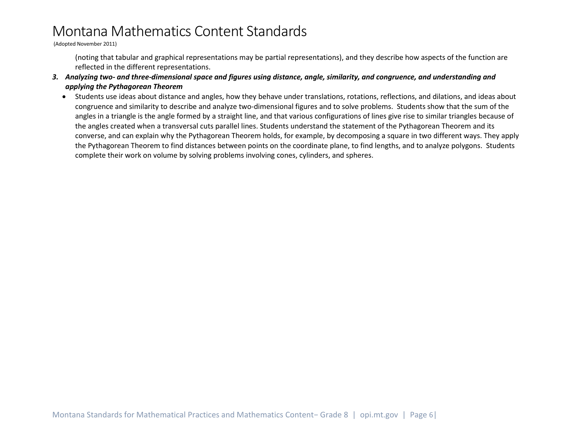(Adopted November 2011)

(noting that tabular and graphical representations may be partial representations), and they describe how aspects of the function are reflected in the different representations.

- *3. Analyzing two- and three-dimensional space and figures using distance, angle, similarity, and congruence, and understanding and applying the Pythagorean Theorem*
	- Students use ideas about distance and angles, how they behave under translations, rotations, reflections, and dilations, and ideas about congruence and similarity to describe and analyze two-dimensional figures and to solve problems. Students show that the sum of the angles in a triangle is the angle formed by a straight line, and that various configurations of lines give rise to similar triangles because of the angles created when a transversal cuts parallel lines. Students understand the statement of the Pythagorean Theorem and its converse, and can explain why the Pythagorean Theorem holds, for example, by decomposing a square in two different ways. They apply the Pythagorean Theorem to find distances between points on the coordinate plane, to find lengths, and to analyze polygons. Students complete their work on volume by solving problems involving cones, cylinders, and spheres.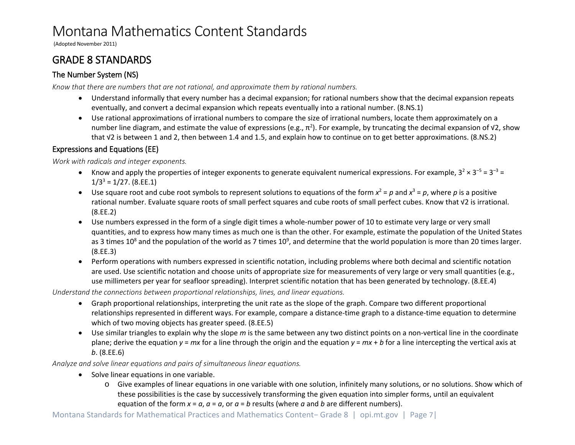(Adopted November 2011)

## <span id="page-6-0"></span>GRADE 8 STANDARDS

## <span id="page-6-1"></span>The Number System (NS)

*Know that there are numbers that are not rational, and approximate them by rational numbers.*

- Understand informally that every number has a decimal expansion; for rational numbers show that the decimal expansion repeats eventually, and convert a decimal expansion which repeats eventually into a rational number. (8.NS.1)
- Use rational approximations of irrational numbers to compare the size of irrational numbers, locate them approximately on a number line diagram, and estimate the value of expressions (e.g.,  $\pi^2$ ). For example, by truncating the decimal expansion of √2, show that √2 is between 1 and 2, then between 1.4 and 1.5, and explain how to continue on to get better approximations. (8.NS.2)

## <span id="page-6-2"></span>Expressions and Equations (EE)

*Work with radicals and integer exponents.*

- Know and apply the properties of integer exponents to generate equivalent numerical expressions. For example,  $3^2 \times 3^{-5} = 3^{-3} = 1$  $1/3^3 = 1/27.$  (8.EE.1)
- Use square root and cube root symbols to represent solutions to equations of the form  $x^2 = p$  and  $x^3 = p$ , where p is a positive rational number. Evaluate square roots of small perfect squares and cube roots of small perfect cubes. Know that √2 is irrational. (8.EE.2)
- Use numbers expressed in the form of a single digit times a whole-number power of 10 to estimate very large or very small quantities, and to express how many times as much one is than the other. For example, estimate the population of the United States as 3 times 10<sup>8</sup> and the population of the world as 7 times 10<sup>9</sup>, and determine that the world population is more than 20 times larger. (8.EE.3)
- Perform operations with numbers expressed in scientific notation, including problems where both decimal and scientific notation are used. Use scientific notation and choose units of appropriate size for measurements of very large or very small quantities (e.g., use millimeters per year for seafloor spreading). Interpret scientific notation that has been generated by technology. (8.EE.4)

*Understand the connections between proportional relationships, lines, and linear equations.*

- Graph proportional relationships, interpreting the unit rate as the slope of the graph. Compare two different proportional relationships represented in different ways. For example, compare a distance-time graph to a distance-time equation to determine which of two moving objects has greater speed. (8.EE.5)
- Use similar triangles to explain why the slope *m* is the same between any two distinct points on a non-vertical line in the coordinate plane; derive the equation *y* = *mx* for a line through the origin and the equation *y* = *mx* + *b* for a line intercepting the vertical axis at *b*. (8.EE.6)

*Analyze and solve linear equations and pairs of simultaneous linear equations.*

- Solve linear equations in one variable.
	- o Give examples of linear equations in one variable with one solution, infinitely many solutions, or no solutions. Show which of these possibilities is the case by successively transforming the given equation into simpler forms, until an equivalent equation of the form  $x = a$ ,  $a = a$ , or  $a = b$  results (where  $a$  and  $b$  are different numbers).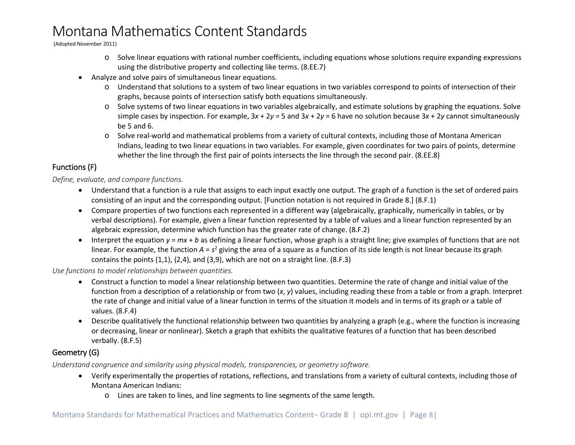(Adopted November 2011)

- o Solve linear equations with rational number coefficients, including equations whose solutions require expanding expressions using the distributive property and collecting like terms. (8.EE.7)
- Analyze and solve pairs of simultaneous linear equations.
	- o Understand that solutions to a system of two linear equations in two variables correspond to points of intersection of their graphs, because points of intersection satisfy both equations simultaneously.
	- o Solve systems of two linear equations in two variables algebraically, and estimate solutions by graphing the equations. Solve simple cases by inspection. For example, 3*x* + 2*y* = 5 and 3*x* + 2*y* = 6 have no solution because 3*x* + 2*y* cannot simultaneously be 5 and 6.
	- o Solve real-world and mathematical problems from a variety of cultural contexts, including those of Montana American Indians, leading to two linear equations in two variables. For example, given coordinates for two pairs of points, determine whether the line through the first pair of points intersects the line through the second pair. (8.EE.8)

#### <span id="page-7-0"></span>Functions (F)

*Define, evaluate, and compare functions.*

- Understand that a function is a rule that assigns to each input exactly one output. The graph of a function is the set of ordered pairs consisting of an input and the corresponding output. [Function notation is not required in Grade 8.] (8.F.1)
- Compare properties of two functions each represented in a different way (algebraically, graphically, numerically in tables, or by verbal descriptions). For example, given a linear function represented by a table of values and a linear function represented by an algebraic expression, determine which function has the greater rate of change. (8.F.2)
- Interpret the equation  $y = mx + b$  as defining a linear function, whose graph is a straight line; give examples of functions that are not linear. For example, the function *A* = *s*<sup>2</sup> giving the area of a square as a function of its side length is not linear because its graph contains the points (1,1), (2,4), and (3,9), which are not on a straight line. (8.F.3)

*Use functions to model relationships between quantities.*

- Construct a function to model a linear relationship between two quantities. Determine the rate of change and initial value of the function from a description of a relationship or from two (*x*, *y*) values, including reading these from a table or from a graph. Interpret the rate of change and initial value of a linear function in terms of the situation it models and in terms of its graph or a table of values. (8.F.4)
- Describe qualitatively the functional relationship between two quantities by analyzing a graph (e.g., where the function is increasing or decreasing, linear or nonlinear). Sketch a graph that exhibits the qualitative features of a function that has been described verbally. (8.F.5)

## <span id="page-7-1"></span>Geometry (G)

*Understand congruence and similarity using physical models, transparencies, or geometry software.*

- Verify experimentally the properties of rotations, reflections, and translations from a variety of cultural contexts, including those of Montana American Indians:
	- o Lines are taken to lines, and line segments to line segments of the same length.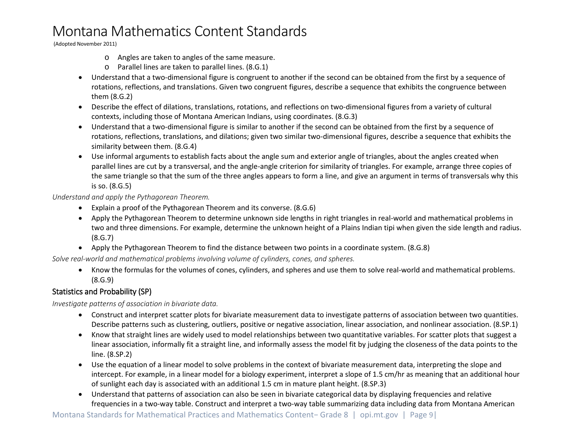(Adopted November 2011)

- o Angles are taken to angles of the same measure.
- o Parallel lines are taken to parallel lines. (8.G.1)
- Understand that a two-dimensional figure is congruent to another if the second can be obtained from the first by a sequence of rotations, reflections, and translations. Given two congruent figures, describe a sequence that exhibits the congruence between them (8.G.2)
- Describe the effect of dilations, translations, rotations, and reflections on two-dimensional figures from a variety of cultural contexts, including those of Montana American Indians, using coordinates. (8.G.3)
- Understand that a two-dimensional figure is similar to another if the second can be obtained from the first by a sequence of rotations, reflections, translations, and dilations; given two similar two-dimensional figures, describe a sequence that exhibits the similarity between them. (8.G.4)
- Use informal arguments to establish facts about the angle sum and exterior angle of triangles, about the angles created when parallel lines are cut by a transversal, and the angle-angle criterion for similarity of triangles. For example, arrange three copies of the same triangle so that the sum of the three angles appears to form a line, and give an argument in terms of transversals why this is so. (8.G.5)

#### *Understand and apply the Pythagorean Theorem.*

- Explain a proof of the Pythagorean Theorem and its converse. (8.G.6)
- Apply the Pythagorean Theorem to determine unknown side lengths in right triangles in real-world and mathematical problems in two and three dimensions. For example, determine the unknown height of a Plains Indian tipi when given the side length and radius. (8.G.7)
- Apply the Pythagorean Theorem to find the distance between two points in a coordinate system. (8.G.8)

*Solve real-world and mathematical problems involving volume of cylinders, cones, and spheres.*

• Know the formulas for the volumes of cones, cylinders, and spheres and use them to solve real-world and mathematical problems. (8.G.9)

#### <span id="page-8-0"></span>Statistics and Probability (SP)

*Investigate patterns of association in bivariate data.*

- Construct and interpret scatter plots for bivariate measurement data to investigate patterns of association between two quantities. Describe patterns such as clustering, outliers, positive or negative association, linear association, and nonlinear association. (8.SP.1)
- Know that straight lines are widely used to model relationships between two quantitative variables. For scatter plots that suggest a linear association, informally fit a straight line, and informally assess the model fit by judging the closeness of the data points to the line. (8.SP.2)
- Use the equation of a linear model to solve problems in the context of bivariate measurement data, interpreting the slope and intercept. For example, in a linear model for a biology experiment, interpret a slope of 1.5 cm/hr as meaning that an additional hour of sunlight each day is associated with an additional 1.5 cm in mature plant height. (8.SP.3)
- Understand that patterns of association can also be seen in bivariate categorical data by displaying frequencies and relative frequencies in a two-way table. Construct and interpret a two-way table summarizing data including data from Montana American

Montana Standards for Mathematical Practices and Mathematics Content− Grade 8 | opi.mt.gov | Page 9|